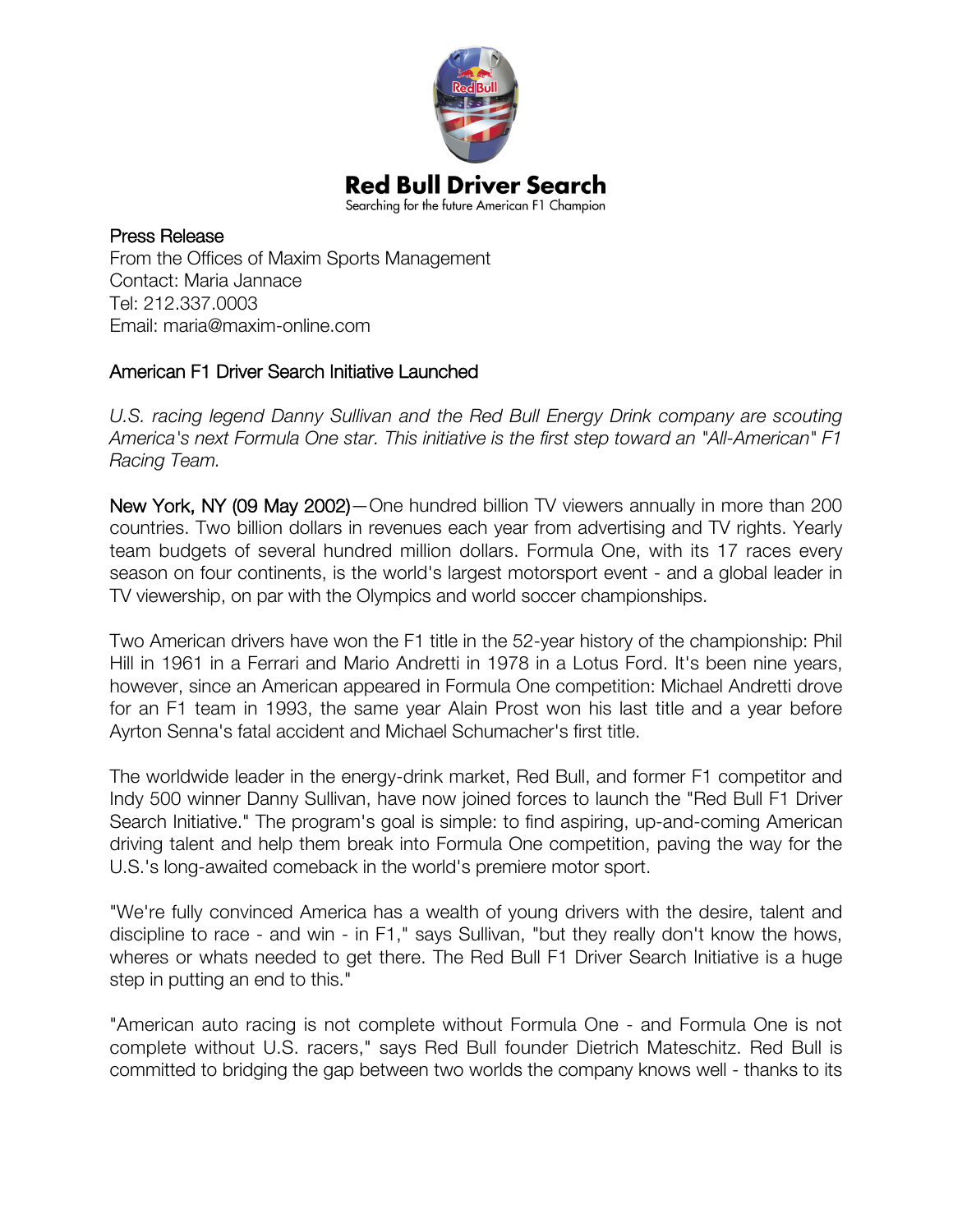

Press Release From the Offices of Maxim Sports Management Contact: Maria Jannace Tel: 212.337.0003 Email: maria@maxim-online.com

## American F1 Driver Search Initiative Launched

*U.S. racing legend Danny Sullivan and the Red Bull Energy Drink company are scouting America's next Formula One star. This initiative is the first step toward an "All-American" F1 Racing Team.*

New York, NY (09 May 2002)—One hundred billion TV viewers annually in more than 200 countries. Two billion dollars in revenues each year from advertising and TV rights. Yearly team budgets of several hundred million dollars. Formula One, with its 17 races every season on four continents, is the world's largest motorsport event - and a global leader in TV viewership, on par with the Olympics and world soccer championships.

Two American drivers have won the F1 title in the 52-year history of the championship: Phil Hill in 1961 in a Ferrari and Mario Andretti in 1978 in a Lotus Ford. It's been nine years, however, since an American appeared in Formula One competition: Michael Andretti drove for an F1 team in 1993, the same year Alain Prost won his last title and a year before Ayrton Senna's fatal accident and Michael Schumacher's first title.

The worldwide leader in the energy-drink market, Red Bull, and former F1 competitor and Indy 500 winner Danny Sullivan, have now joined forces to launch the "Red Bull F1 Driver Search Initiative." The program's goal is simple: to find aspiring, up-and-coming American driving talent and help them break into Formula One competition, paving the way for the U.S.'s long-awaited comeback in the world's premiere motor sport.

"We're fully convinced America has a wealth of young drivers with the desire, talent and discipline to race - and win - in F1," says Sullivan, "but they really don't know the hows, wheres or whats needed to get there. The Red Bull F1 Driver Search Initiative is a huge step in putting an end to this."

"American auto racing is not complete without Formula One - and Formula One is not complete without U.S. racers," says Red Bull founder Dietrich Mateschitz. Red Bull is committed to bridging the gap between two worlds the company knows well - thanks to its